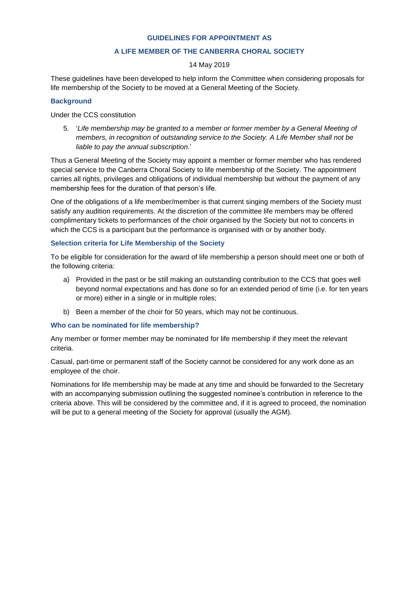#### **GUIDELINES FOR APPOINTMENT AS**

# **A LIFE MEMBER OF THE CANBERRA CHORAL SOCIETY**

# 14 May 2019

These guidelines have been developed to help inform the Committee when considering proposals for life membership of the Society to be moved at a General Meeting of the Society.

# **Background**

Under the CCS constitution

5. '*Life membership may be granted to a member or former member by a General Meeting of members, in recognition of outstanding service to the Society. A Life Member shall not be liable to pay the annual subscription*.'

Thus a General Meeting of the Society may appoint a member or former member who has rendered special service to the Canberra Choral Society to life membership of the Society. The appointment carries all rights, privileges and obligations of individual membership but without the payment of any membership fees for the duration of that person's life.

One of the obligations of a life member/member is that current singing members of the Society must satisfy any audition requirements. At the discretion of the committee life members may be offered complimentary tickets to performances of the choir organised by the Society but not to concerts in which the CCS is a participant but the performance is organised with or by another body.

# **Selection criteria for Life Membership of the Society**

To be eligible for consideration for the award of life membership a person should meet one or both of the following criteria:

- a) Provided in the past or be still making an outstanding contribution to the CCS that goes well beyond normal expectations and has done so for an extended period of time (i.e. for ten years or more) either in a single or in multiple roles;
- b) Been a member of the choir for 50 years, which may not be continuous.

### **Who can be nominated for life membership?**

Any member or former member may be nominated for life membership if they meet the relevant criteria.

Casual, part-time or permanent staff of the Society cannot be considered for any work done as an employee of the choir.

Nominations for life membership may be made at any time and should be forwarded to the Secretary with an accompanying submission outlining the suggested nominee's contribution in reference to the criteria above. This will be considered by the committee and, if it is agreed to proceed, the nomination will be put to a general meeting of the Society for approval (usually the AGM).